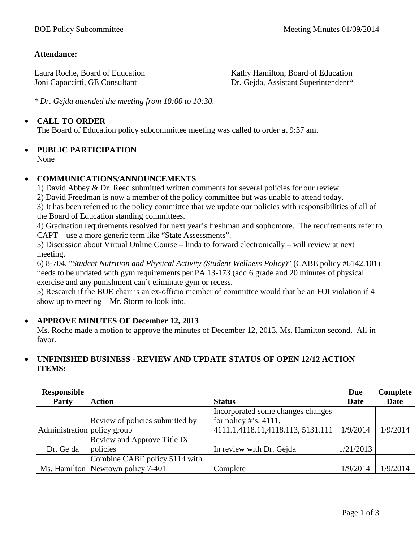#### **Attendance:**

Laura Roche, Board of Education Joni Capoccitti, GE Consultant

Kathy Hamilton, Board of Education Dr. Gejda, Assistant Superintendent\*

*\* Dr. Gejda attended the meeting from 10:00 to 10:30.*

#### • **CALL TO ORDER**

The Board of Education policy subcommittee meeting was called to order at 9:37 am.

# • **PUBLIC PARTICIPATION**

None

### • **COMMUNICATIONS/ANNOUNCEMENTS**

1) David Abbey & Dr. Reed submitted written comments for several policies for our review.

2) David Freedman is now a member of the policy committee but was unable to attend today.

3) It has been referred to the policy committee that we update our policies with responsibilities of all of the Board of Education standing committees.

4) Graduation requirements resolved for next year's freshman and sophomore. The requirements refer to CAPT – use a more generic term like "State Assessments".

5) Discussion about Virtual Online Course – linda to forward electronically – will review at next meeting.

6) 8-704, "*Student Nutrition and Physical Activity (Student Wellness Policy)*" (CABE policy #6142.101) needs to be updated with gym requirements per PA 13-173 (add 6 grade and 20 minutes of physical exercise and any punishment can't eliminate gym or recess.

5) Research if the BOE chair is an ex-officio member of committee would that be an FOI violation if 4 show up to meeting – Mr. Storm to look into.

#### • **APPROVE MINUTES OF December 12, 2013**

Ms. Roche made a motion to approve the minutes of December 12, 2013, Ms. Hamilton second. All in favor.

#### • **UNFINISHED BUSINESS - REVIEW AND UPDATE STATUS OF OPEN 12/12 ACTION ITEMS:**

| <b>Responsible</b>          |                                   |                                   | Due       | Complete |
|-----------------------------|-----------------------------------|-----------------------------------|-----------|----------|
| <b>Party</b>                | <b>Action</b>                     | <b>Status</b>                     | Date      | Date     |
|                             |                                   | Incorporated some changes changes |           |          |
|                             | Review of policies submitted by   | for policy #'s: $4111$ ,          |           |          |
| Administration policy group |                                   | 4111.1,4118.11,4118.113, 5131.111 | 1/9/2014  | 1/9/2014 |
|                             | Review and Approve Title IX       |                                   |           |          |
| Dr. Gejda                   | policies                          | In review with Dr. Gejda          | 1/21/2013 |          |
|                             | Combine CABE policy 5114 with     |                                   |           |          |
|                             | Ms. Hamilton Newtown policy 7-401 | Complete                          | 1/9/2014  | 1/9/2014 |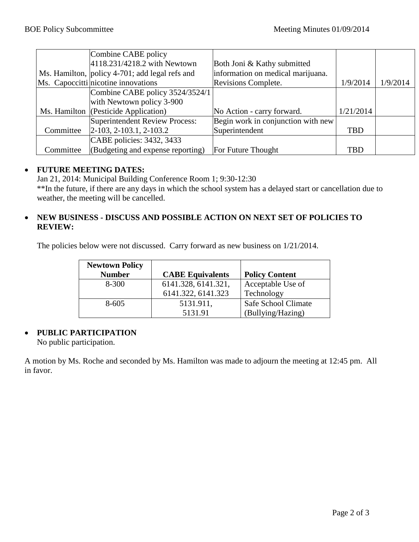|           | Combine CABE policy                            |                                    |            |          |
|-----------|------------------------------------------------|------------------------------------|------------|----------|
|           | 4118.231/4218.2 with Newtown                   | Both Joni & Kathy submitted        |            |          |
|           | Ms. Hamilton, policy 4-701; add legal refs and | information on medical marijuana.  |            |          |
|           | Ms. Capoccitti nicotine innovations            | Revisions Complete.                | 1/9/2014   | 1/9/2014 |
|           | Combine CABE policy 3524/3524/1                |                                    |            |          |
|           | with Newtown policy 3-900                      |                                    |            |          |
|           | Ms. Hamilton (Pesticide Application)           | No Action - carry forward.         | 1/21/2014  |          |
|           | Superintendent Review Process:                 | Begin work in conjunction with new |            |          |
| Committee | $ 2-103, 2-103.1, 2-103.2$                     | Superintendent                     | <b>TBD</b> |          |
|           | CABE policies: 3432, 3433                      |                                    |            |          |
| Committee | (Budgeting and expense reporting)              | For Future Thought                 | <b>TBD</b> |          |

#### • **FUTURE MEETING DATES:**

Jan 21, 2014: Municipal Building Conference Room 1; 9:30-12:30 \*\*In the future, if there are any days in which the school system has a delayed start or cancellation due to weather, the meeting will be cancelled.

#### • **NEW BUSINESS - DISCUSS AND POSSIBLE ACTION ON NEXT SET OF POLICIES TO REVIEW:**

The policies below were not discussed. Carry forward as new business on 1/21/2014.

| <b>Newtown Policy</b> |                         |                       |
|-----------------------|-------------------------|-----------------------|
| <b>Number</b>         | <b>CABE Equivalents</b> | <b>Policy Content</b> |
| $8 - 300$             | 6141.328, 6141.321,     | Acceptable Use of     |
|                       | 6141.322, 6141.323      | Technology            |
| $8 - 605$             | 5131.911,               | Safe School Climate   |
|                       | 5131.91                 | (Bullying/Hazing)     |

#### • **PUBLIC PARTICIPATION**

No public participation.

A motion by Ms. Roche and seconded by Ms. Hamilton was made to adjourn the meeting at 12:45 pm. All in favor.